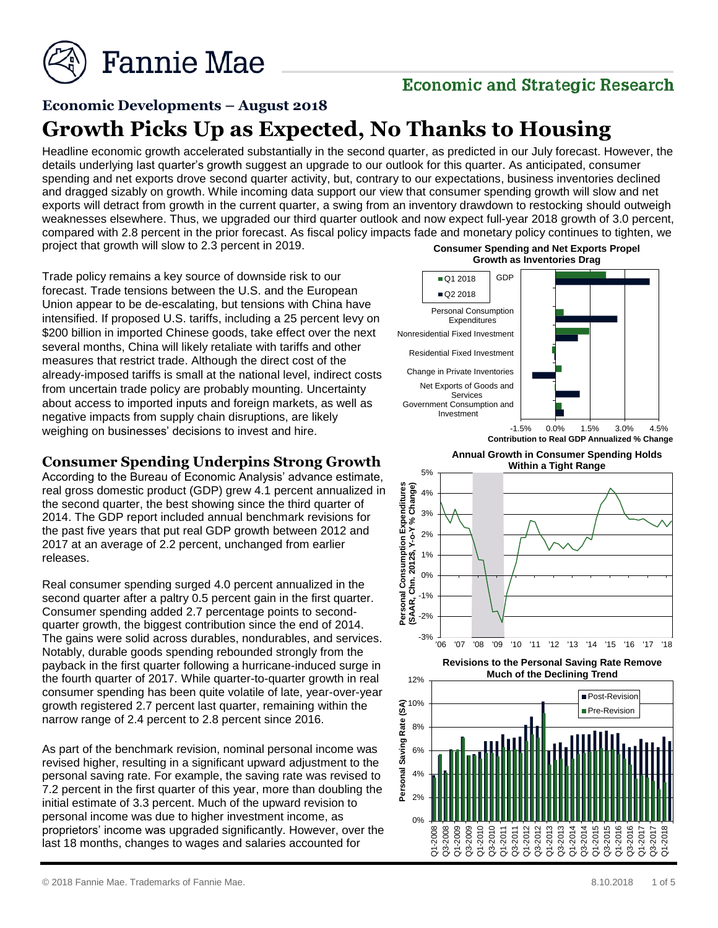

## **Economic and Strategic Research**

# **Economic Developments – August 2018**

# **Growth Picks Up as Expected, No Thanks to Housing**

Headline economic growth accelerated substantially in the second quarter, as predicted in our July forecast. However, the details underlying last quarter's growth suggest an upgrade to our outlook for this quarter. As anticipated, consumer spending and net exports drove second quarter activity, but, contrary to our expectations, business inventories declined and dragged sizably on growth. While incoming data support our view that consumer spending growth will slow and net exports will detract from growth in the current quarter, a swing from an inventory drawdown to restocking should outweigh weaknesses elsewhere. Thus, we upgraded our third quarter outlook and now expect full-year 2018 growth of 3.0 percent, compared with 2.8 percent in the prior forecast. As fiscal policy impacts fade and monetary policy continues to tighten, we project that growth will slow to 2.3 percent in 2019. **Consumer Spending and Net Exports Propel** 

Trade policy remains a key source of downside risk to our forecast. Trade tensions between the U.S. and the European Union appear to be de-escalating, but tensions with China have intensified. If proposed U.S. tariffs, including a 25 percent levy on \$200 billion in imported Chinese goods, take effect over the next several months, China will likely retaliate with tariffs and other measures that restrict trade. Although the direct cost of the already-imposed tariffs is small at the national level, indirect costs from uncertain trade policy are probably mounting. Uncertainty about access to imported inputs and foreign markets, as well as negative impacts from supply chain disruptions, are likely weighing on businesses' decisions to invest and hire.

### **Consumer Spending Underpins Strong Growth**

According to the Bureau of Economic Analysis' advance estimate, real gross domestic product (GDP) grew 4.1 percent annualized in the second quarter, the best showing since the third quarter of 2014. The GDP report included annual benchmark revisions for the past five years that put real GDP growth between 2012 and 2017 at an average of 2.2 percent, unchanged from earlier releases.

Real consumer spending surged 4.0 percent annualized in the second quarter after a paltry 0.5 percent gain in the first quarter. Consumer spending added 2.7 percentage points to secondquarter growth, the biggest contribution since the end of 2014. The gains were solid across durables, nondurables, and services. Notably, durable goods spending rebounded strongly from the payback in the first quarter following a hurricane-induced surge in the fourth quarter of 2017. While quarter-to-quarter growth in real consumer spending has been quite volatile of late, year-over-year growth registered 2.7 percent last quarter, remaining within the narrow range of 2.4 percent to 2.8 percent since 2016.

As part of the benchmark revision, nominal personal income was revised higher, resulting in a significant upward adjustment to the personal saving rate. For example, the saving rate was revised to 7.2 percent in the first quarter of this year, more than doubling the initial estimate of 3.3 percent. Much of the upward revision to personal income was due to higher investment income, as proprietors' income was upgraded significantly. However, over the last 18 months, changes to wages and salaries accounted for



**Annual Growth in Consumer Spending Holds** 





**Revisions to the Personal Saving Rate Remove Much of the Declining Trend** 

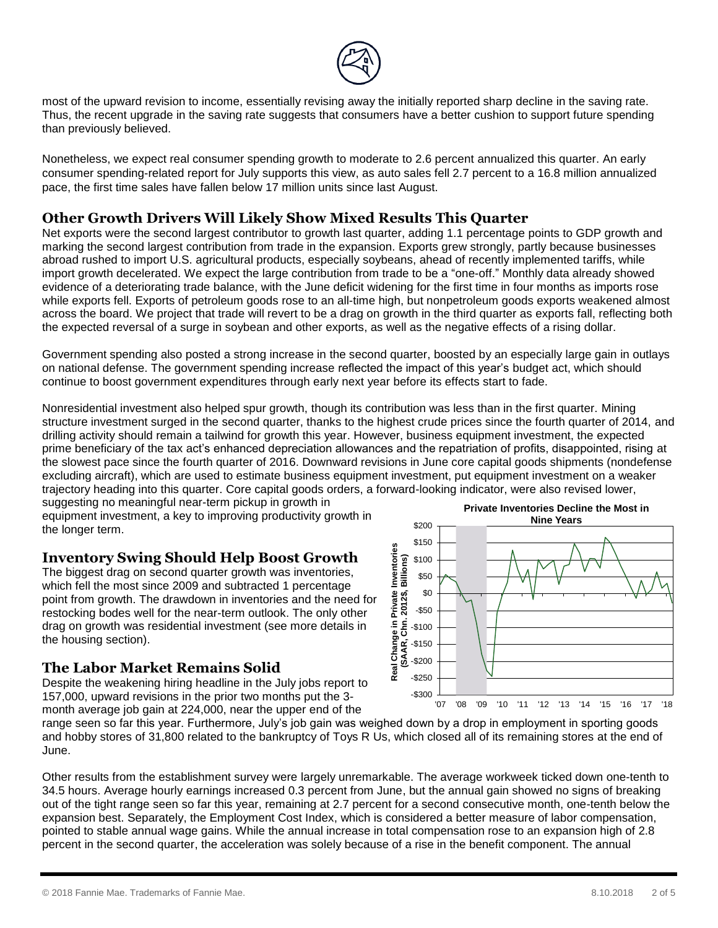

most of the upward revision to income, essentially revising away the initially reported sharp decline in the saving rate. Thus, the recent upgrade in the saving rate suggests that consumers have a better cushion to support future spending than previously believed.

Nonetheless, we expect real consumer spending growth to moderate to 2.6 percent annualized this quarter. An early consumer spending-related report for July supports this view, as auto sales fell 2.7 percent to a 16.8 million annualized pace, the first time sales have fallen below 17 million units since last August.

#### **Other Growth Drivers Will Likely Show Mixed Results This Quarter**

Net exports were the second largest contributor to growth last quarter, adding 1.1 percentage points to GDP growth and marking the second largest contribution from trade in the expansion. Exports grew strongly, partly because businesses abroad rushed to import U.S. agricultural products, especially soybeans, ahead of recently implemented tariffs, while import growth decelerated. We expect the large contribution from trade to be a "one-off." Monthly data already showed evidence of a deteriorating trade balance, with the June deficit widening for the first time in four months as imports rose while exports fell. Exports of petroleum goods rose to an all-time high, but nonpetroleum goods exports weakened almost across the board. We project that trade will revert to be a drag on growth in the third quarter as exports fall, reflecting both the expected reversal of a surge in soybean and other exports, as well as the negative effects of a rising dollar.

Government spending also posted a strong increase in the second quarter, boosted by an especially large gain in outlays on national defense. The government spending increase reflected the impact of this year's budget act, which should continue to boost government expenditures through early next year before its effects start to fade.

Nonresidential investment also helped spur growth, though its contribution was less than in the first quarter. Mining structure investment surged in the second quarter, thanks to the highest crude prices since the fourth quarter of 2014, and drilling activity should remain a tailwind for growth this year. However, business equipment investment, the expected prime beneficiary of the tax act's enhanced depreciation allowances and the repatriation of profits, disappointed, rising at the slowest pace since the fourth quarter of 2016. Downward revisions in June core capital goods shipments (nondefense excluding aircraft), which are used to estimate business equipment investment, put equipment investment on a weaker trajectory heading into this quarter. Core capital goods orders, a forward-looking indicator, were also revised lower,

suggesting no meaningful near-term pickup in growth in equipment investment, a key to improving productivity growth in the longer term.

### **Inventory Swing Should Help Boost Growth**

The biggest drag on second quarter growth was inventories. which fell the most since 2009 and subtracted 1 percentage point from growth. The drawdown in inventories and the need for restocking bodes well for the near-term outlook. The only other drag on growth was residential investment (see more details in the housing section).

### **The Labor Market Remains Solid**

Despite the weakening hiring headline in the July jobs report to 157,000, upward revisions in the prior two months put the 3 month average job gain at 224,000, near the upper end of the



range seen so far this year. Furthermore, July's job gain was weighed down by a drop in employment in sporting goods and hobby stores of 31,800 related to the bankruptcy of Toys R Us, which closed all of its remaining stores at the end of June.

Other results from the establishment survey were largely unremarkable. The average workweek ticked down one-tenth to 34.5 hours. Average hourly earnings increased 0.3 percent from June, but the annual gain showed no signs of breaking out of the tight range seen so far this year, remaining at 2.7 percent for a second consecutive month, one-tenth below the expansion best. Separately, the Employment Cost Index, which is considered a better measure of labor compensation, pointed to stable annual wage gains. While the annual increase in total compensation rose to an expansion high of 2.8 percent in the second quarter, the acceleration was solely because of a rise in the benefit component. The annual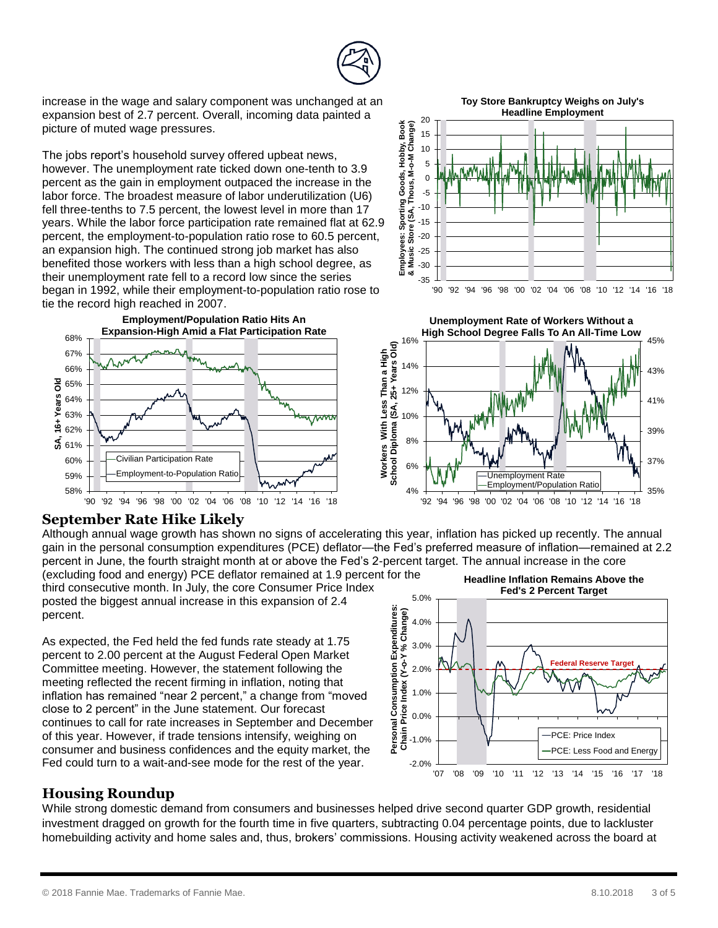

increase in the wage and salary component was unchanged at an expansion best of 2.7 percent. Overall, incoming data painted a picture of muted wage pressures.

The jobs report's household survey offered upbeat news, however. The unemployment rate ticked down one-tenth to 3.9 percent as the gain in employment outpaced the increase in the labor force. The broadest measure of labor underutilization (U6) fell three-tenths to 7.5 percent, the lowest level in more than 17 years. While the labor force participation rate remained flat at 62.9 percent, the employment-to-population ratio rose to 60.5 percent, an expansion high. The continued strong job market has also benefited those workers with less than a high school degree, as their unemployment rate fell to a record low since the series began in 1992, while their employment-to-population ratio rose to tie the record high reached in 2007.







#### **September Rate Hike Likely**

Although annual wage growth has shown no signs of accelerating this year, inflation has picked up recently. The annual gain in the personal consumption expenditures (PCE) deflator—the Fed's preferred measure of inflation—remained at 2.2 percent in June, the fourth straight month at or above the Fed's 2-percent target. The annual increase in the core (excluding food and energy) PCE deflator remained at 1.9 percent for the

third consecutive month. In July, the core Consumer Price Index posted the biggest annual increase in this expansion of 2.4 percent.

As expected, the Fed held the fed funds rate steady at 1.75 percent to 2.00 percent at the August Federal Open Market Committee meeting. However, the statement following the meeting reflected the recent firming in inflation, noting that inflation has remained "near 2 percent," a change from "moved close to 2 percent" in the June statement. Our forecast continues to call for rate increases in September and December of this year. However, if trade tensions intensify, weighing on consumer and business confidences and the equity market, the Fed could turn to a wait-and-see mode for the rest of the year.



### **Housing Roundup**

While strong domestic demand from consumers and businesses helped drive second quarter GDP growth, residential investment dragged on growth for the fourth time in five quarters, subtracting 0.04 percentage points, due to lackluster homebuilding activity and home sales and, thus, brokers' commissions. Housing activity weakened across the board at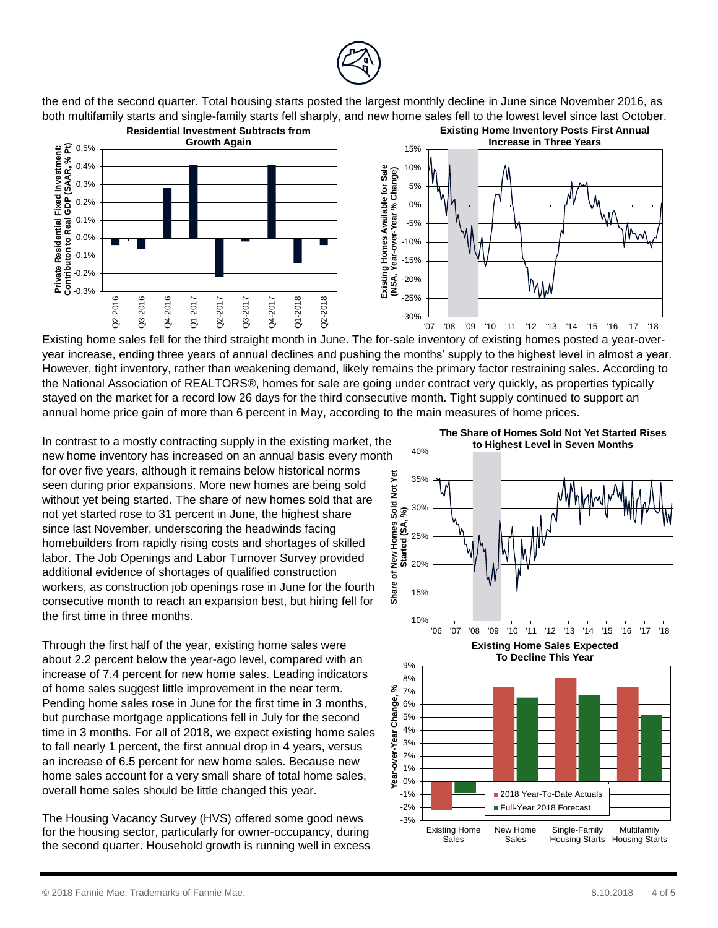

the end of the second quarter. Total housing starts posted the largest monthly decline in June since November 2016, as both multifamily starts and single-family starts fell sharply, and new home sales fell to the lowest level since last October.



Existing home sales fell for the third straight month in June. The for-sale inventory of existing homes posted a year-overyear increase, ending three years of annual declines and pushing the months' supply to the highest level in almost a year. However, tight inventory, rather than weakening demand, likely remains the primary factor restraining sales. According to the National Association of REALTORS®, homes for sale are going under contract very quickly, as properties typically stayed on the market for a record low 26 days for the third consecutive month. Tight supply continued to support an annual home price gain of more than 6 percent in May, according to the main measures of home prices.

In contrast to a mostly contracting supply in the existing market, the new home inventory has increased on an annual basis every month for over five years, although it remains below historical norms seen during prior expansions. More new homes are being sold without yet being started. The share of new homes sold that are not yet started rose to 31 percent in June, the highest share since last November, underscoring the headwinds facing homebuilders from rapidly rising costs and shortages of skilled labor. The Job Openings and Labor Turnover Survey provided additional evidence of shortages of qualified construction workers, as construction job openings rose in June for the fourth consecutive month to reach an expansion best, but hiring fell for the first time in three months.

Through the first half of the year, existing home sales were about 2.2 percent below the year-ago level, compared with an increase of 7.4 percent for new home sales. Leading indicators of home sales suggest little improvement in the near term. Pending home sales rose in June for the first time in 3 months, but purchase mortgage applications fell in July for the second time in 3 months. For all of 2018, we expect existing home sales to fall nearly 1 percent, the first annual drop in 4 years, versus an increase of 6.5 percent for new home sales. Because new home sales account for a very small share of total home sales, overall home sales should be little changed this year.

The Housing Vacancy Survey (HVS) offered some good news for the housing sector, particularly for owner-occupancy, during the second quarter. Household growth is running well in excess

 $+$  10% $+$ 15%  $+$ 20%  $+$ 25%  $+$ 30%  $+$  $\frac{35\%}{25\%}$   $\frac{35\%}{25\%}$   $\frac{10\%}{25\%}$   $\frac{30\%}{25\%}$   $\frac{15\%}{25\%}$   $\frac{15\%}{25\%}$   $\frac{15\%}{25\%}$   $\frac{15\%}{25\%}$   $\frac{15\%}{25\%}$   $\frac{15\%}{25\%}$   $\frac{15\%}{25\%}$   $\frac{15\%}{25\%}$   $\frac{15\%}{25\%}$   $\frac{15\%}{25\%$ 40% **to Highest Level in Seven Months**

**The Share of Homes Sold Not Yet Started Rises** 

**Existing Home Sales Expected To Decline This Year**